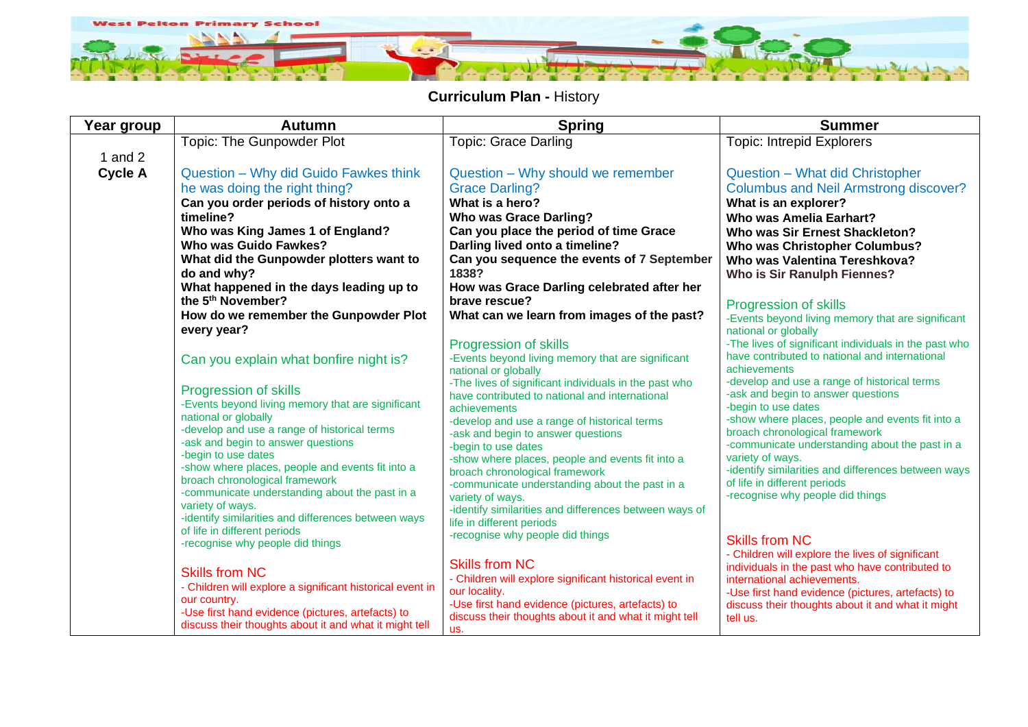

# **Curriculum Plan -** History

| Year group     | <b>Autumn</b>                                                                                                           | <b>Spring</b>                                                      | <b>Summer</b>                                                             |  |
|----------------|-------------------------------------------------------------------------------------------------------------------------|--------------------------------------------------------------------|---------------------------------------------------------------------------|--|
|                | <b>Topic: The Gunpowder Plot</b>                                                                                        | <b>Topic: Grace Darling</b>                                        | <b>Topic: Intrepid Explorers</b>                                          |  |
| 1 and $2$      |                                                                                                                         |                                                                    |                                                                           |  |
| <b>Cycle A</b> | Question - Why did Guido Fawkes think                                                                                   | Question - Why should we remember                                  | Question - What did Christopher                                           |  |
|                | he was doing the right thing?                                                                                           | <b>Grace Darling?</b>                                              | <b>Columbus and Neil Armstrong discover?</b>                              |  |
|                | Can you order periods of history onto a                                                                                 | What is a hero?                                                    | What is an explorer?                                                      |  |
|                | timeline?                                                                                                               | <b>Who was Grace Darling?</b>                                      | <b>Who was Amelia Earhart?</b>                                            |  |
|                | Who was King James 1 of England?                                                                                        | Can you place the period of time Grace                             | Who was Sir Ernest Shackleton?                                            |  |
|                | <b>Who was Guido Fawkes?</b>                                                                                            | Darling lived onto a timeline?                                     | <b>Who was Christopher Columbus?</b>                                      |  |
|                | What did the Gunpowder plotters want to                                                                                 | Can you sequence the events of 7 September                         | Who was Valentina Tereshkova?                                             |  |
|                | do and why?                                                                                                             | 1838?                                                              | Who is Sir Ranulph Fiennes?                                               |  |
|                | What happened in the days leading up to<br>the 5 <sup>th</sup> November?                                                | How was Grace Darling celebrated after her<br>brave rescue?        |                                                                           |  |
|                | How do we remember the Gunpowder Plot                                                                                   | What can we learn from images of the past?                         | Progression of skills                                                     |  |
|                | every year?                                                                                                             |                                                                    | -Events beyond living memory that are significant<br>national or globally |  |
|                |                                                                                                                         | Progression of skills                                              | -The lives of significant individuals in the past who                     |  |
|                | Can you explain what bonfire night is?                                                                                  | -Events beyond living memory that are significant                  | have contributed to national and international                            |  |
|                |                                                                                                                         | national or globally                                               | achievements                                                              |  |
|                | Progression of skills                                                                                                   | -The lives of significant individuals in the past who              | -develop and use a range of historical terms                              |  |
|                | -Events beyond living memory that are significant                                                                       | have contributed to national and international                     | -ask and begin to answer questions<br>-begin to use dates                 |  |
|                | national or globally                                                                                                    | achievements<br>-develop and use a range of historical terms       | -show where places, people and events fit into a                          |  |
|                | -develop and use a range of historical terms                                                                            | -ask and begin to answer questions                                 | broach chronological framework                                            |  |
|                | -ask and begin to answer questions                                                                                      | -begin to use dates                                                | -communicate understanding about the past in a                            |  |
|                | -begin to use dates<br>-show where places, people and events fit into a                                                 | -show where places, people and events fit into a                   | variety of ways.                                                          |  |
|                | broach chronological framework                                                                                          | broach chronological framework                                     | -identify similarities and differences between ways                       |  |
|                | -communicate understanding about the past in a                                                                          | -communicate understanding about the past in a<br>variety of ways. | of life in different periods<br>-recognise why people did things          |  |
|                | variety of ways.                                                                                                        | -identify similarities and differences between ways of             |                                                                           |  |
|                | -identify similarities and differences between ways<br>of life in different periods<br>-recognise why people did things | life in different periods                                          |                                                                           |  |
|                |                                                                                                                         | -recognise why people did things                                   | <b>Skills from NC</b>                                                     |  |
|                |                                                                                                                         |                                                                    | - Children will explore the lives of significant                          |  |
|                | <b>Skills from NC</b>                                                                                                   | <b>Skills from NC</b>                                              | individuals in the past who have contributed to                           |  |
|                | - Children will explore a significant historical event in                                                               | - Children will explore significant historical event in            | international achievements.                                               |  |
|                | our country.                                                                                                            | our locality.<br>-Use first hand evidence (pictures, artefacts) to | -Use first hand evidence (pictures, artefacts) to                         |  |
|                | -Use first hand evidence (pictures, artefacts) to                                                                       | discuss their thoughts about it and what it might tell             | discuss their thoughts about it and what it might<br>tell us.             |  |
|                | discuss their thoughts about it and what it might tell                                                                  | us.                                                                |                                                                           |  |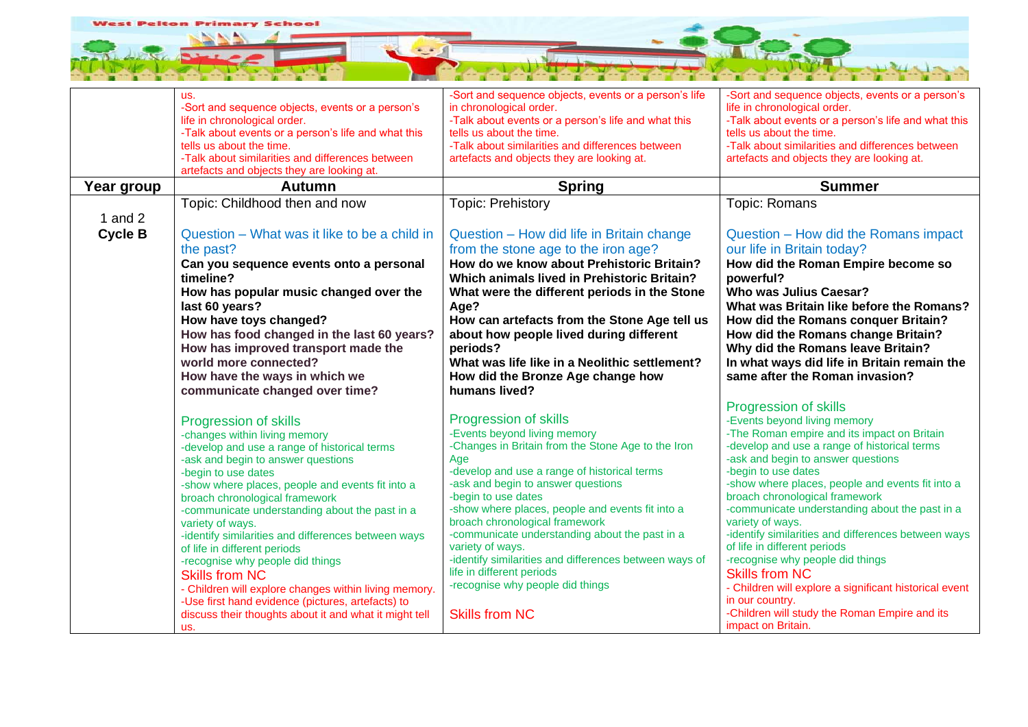

|                | us.<br>-Sort and sequence objects, events or a person's<br>life in chronological order.<br>-Talk about events or a person's life and what this<br>tells us about the time. | -Sort and sequence objects, events or a person's life<br>in chronological order.<br>-Talk about events or a person's life and what this<br>tells us about the time.<br>-Talk about similarities and differences between | -Sort and sequence objects, events or a person's<br>life in chronological order.<br>-Talk about events or a person's life and what this<br>tells us about the time.<br>-Talk about similarities and differences between |
|----------------|----------------------------------------------------------------------------------------------------------------------------------------------------------------------------|-------------------------------------------------------------------------------------------------------------------------------------------------------------------------------------------------------------------------|-------------------------------------------------------------------------------------------------------------------------------------------------------------------------------------------------------------------------|
|                | -Talk about similarities and differences between<br>artefacts and objects they are looking at.                                                                             | artefacts and objects they are looking at.                                                                                                                                                                              | artefacts and objects they are looking at.                                                                                                                                                                              |
| Year group     | Autumn                                                                                                                                                                     | <b>Spring</b>                                                                                                                                                                                                           | <b>Summer</b>                                                                                                                                                                                                           |
|                | Topic: Childhood then and now                                                                                                                                              | <b>Topic: Prehistory</b>                                                                                                                                                                                                | <b>Topic: Romans</b>                                                                                                                                                                                                    |
| 1 and $2$      |                                                                                                                                                                            |                                                                                                                                                                                                                         |                                                                                                                                                                                                                         |
| <b>Cycle B</b> | Question – What was it like to be a child in                                                                                                                               | Question - How did life in Britain change                                                                                                                                                                               | Question - How did the Romans impact                                                                                                                                                                                    |
|                | the past?<br>Can you sequence events onto a personal                                                                                                                       | from the stone age to the iron age?<br>How do we know about Prehistoric Britain?                                                                                                                                        | our life in Britain today?<br>How did the Roman Empire become so                                                                                                                                                        |
|                | timeline?                                                                                                                                                                  | Which animals lived in Prehistoric Britain?                                                                                                                                                                             | powerful?                                                                                                                                                                                                               |
|                | How has popular music changed over the                                                                                                                                     | What were the different periods in the Stone                                                                                                                                                                            | <b>Who was Julius Caesar?</b>                                                                                                                                                                                           |
|                | last 60 years?                                                                                                                                                             | Age?                                                                                                                                                                                                                    | What was Britain like before the Romans?                                                                                                                                                                                |
|                | How have toys changed?<br>How has food changed in the last 60 years?                                                                                                       | How can artefacts from the Stone Age tell us<br>about how people lived during different                                                                                                                                 | How did the Romans conquer Britain?<br>How did the Romans change Britain?                                                                                                                                               |
|                | How has improved transport made the                                                                                                                                        | periods?                                                                                                                                                                                                                | Why did the Romans leave Britain?                                                                                                                                                                                       |
|                | world more connected?                                                                                                                                                      | What was life like in a Neolithic settlement?                                                                                                                                                                           | In what ways did life in Britain remain the                                                                                                                                                                             |
|                | How have the ways in which we                                                                                                                                              | How did the Bronze Age change how                                                                                                                                                                                       | same after the Roman invasion?                                                                                                                                                                                          |
|                | communicate changed over time?                                                                                                                                             | humans lived?                                                                                                                                                                                                           | <b>Progression of skills</b>                                                                                                                                                                                            |
|                | Progression of skills                                                                                                                                                      | Progression of skills                                                                                                                                                                                                   | -Events beyond living memory                                                                                                                                                                                            |
|                | -changes within living memory                                                                                                                                              | -Events beyond living memory                                                                                                                                                                                            | -The Roman empire and its impact on Britain                                                                                                                                                                             |
|                | -develop and use a range of historical terms<br>-ask and begin to answer questions                                                                                         | -Changes in Britain from the Stone Age to the Iron<br>Age                                                                                                                                                               | -develop and use a range of historical terms<br>-ask and begin to answer questions                                                                                                                                      |
|                | -begin to use dates                                                                                                                                                        | -develop and use a range of historical terms                                                                                                                                                                            | -begin to use dates                                                                                                                                                                                                     |
|                | -show where places, people and events fit into a                                                                                                                           | -ask and begin to answer questions                                                                                                                                                                                      | -show where places, people and events fit into a                                                                                                                                                                        |
|                | broach chronological framework<br>-communicate understanding about the past in a                                                                                           | -begin to use dates<br>-show where places, people and events fit into a                                                                                                                                                 | broach chronological framework<br>-communicate understanding about the past in a                                                                                                                                        |
|                | variety of ways.                                                                                                                                                           | broach chronological framework                                                                                                                                                                                          | variety of ways.                                                                                                                                                                                                        |
|                | -identify similarities and differences between ways                                                                                                                        | -communicate understanding about the past in a<br>variety of ways.                                                                                                                                                      | -identify similarities and differences between ways<br>of life in different periods                                                                                                                                     |
|                | of life in different periods<br>-recognise why people did things                                                                                                           | -identify similarities and differences between ways of                                                                                                                                                                  | -recognise why people did things                                                                                                                                                                                        |
|                | <b>Skills from NC</b>                                                                                                                                                      | life in different periods                                                                                                                                                                                               | <b>Skills from NC</b>                                                                                                                                                                                                   |
|                | - Children will explore changes within living memory.                                                                                                                      | -recognise why people did things                                                                                                                                                                                        | - Children will explore a significant historical event                                                                                                                                                                  |
|                | -Use first hand evidence (pictures, artefacts) to<br>discuss their thoughts about it and what it might tell                                                                | <b>Skills from NC</b>                                                                                                                                                                                                   | in our country.<br>-Children will study the Roman Empire and its                                                                                                                                                        |
|                | us.                                                                                                                                                                        |                                                                                                                                                                                                                         | impact on Britain.                                                                                                                                                                                                      |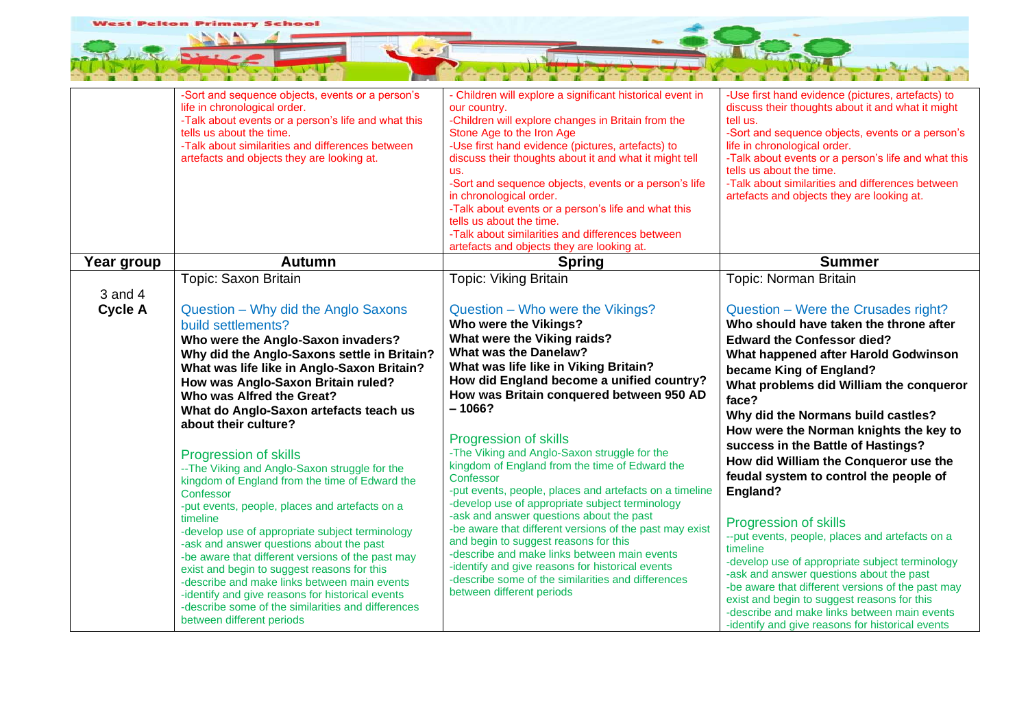

|                | -Sort and sequence objects, events or a person's<br>life in chronological order.<br>-Talk about events or a person's life and what this<br>tells us about the time.<br>-Talk about similarities and differences between<br>artefacts and objects they are looking at.                                                                                                                                                                                                                                                                                                                                                                                                                                                                                                                                                                                                                                                               | - Children will explore a significant historical event in<br>our country.<br>-Children will explore changes in Britain from the<br>Stone Age to the Iron Age<br>-Use first hand evidence (pictures, artefacts) to<br>discuss their thoughts about it and what it might tell<br>us.<br>-Sort and sequence objects, events or a person's life<br>in chronological order.<br>-Talk about events or a person's life and what this<br>tells us about the time.<br>-Talk about similarities and differences between<br>artefacts and objects they are looking at.                                                                                                                                                                                                                                                                                                  | -Use first hand evidence (pictures, artefacts) to<br>discuss their thoughts about it and what it might<br>tell us.<br>-Sort and sequence objects, events or a person's<br>life in chronological order.<br>-Talk about events or a person's life and what this<br>tells us about the time.<br>-Talk about similarities and differences between<br>artefacts and objects they are looking at.                                                                                                                                                                                                                                                                                                                                                                                                                                                                   |
|----------------|-------------------------------------------------------------------------------------------------------------------------------------------------------------------------------------------------------------------------------------------------------------------------------------------------------------------------------------------------------------------------------------------------------------------------------------------------------------------------------------------------------------------------------------------------------------------------------------------------------------------------------------------------------------------------------------------------------------------------------------------------------------------------------------------------------------------------------------------------------------------------------------------------------------------------------------|--------------------------------------------------------------------------------------------------------------------------------------------------------------------------------------------------------------------------------------------------------------------------------------------------------------------------------------------------------------------------------------------------------------------------------------------------------------------------------------------------------------------------------------------------------------------------------------------------------------------------------------------------------------------------------------------------------------------------------------------------------------------------------------------------------------------------------------------------------------|---------------------------------------------------------------------------------------------------------------------------------------------------------------------------------------------------------------------------------------------------------------------------------------------------------------------------------------------------------------------------------------------------------------------------------------------------------------------------------------------------------------------------------------------------------------------------------------------------------------------------------------------------------------------------------------------------------------------------------------------------------------------------------------------------------------------------------------------------------------|
| Year group     | Autumn                                                                                                                                                                                                                                                                                                                                                                                                                                                                                                                                                                                                                                                                                                                                                                                                                                                                                                                              | <b>Spring</b>                                                                                                                                                                                                                                                                                                                                                                                                                                                                                                                                                                                                                                                                                                                                                                                                                                                | <b>Summer</b>                                                                                                                                                                                                                                                                                                                                                                                                                                                                                                                                                                                                                                                                                                                                                                                                                                                 |
| $3$ and $4$    | <b>Topic: Saxon Britain</b>                                                                                                                                                                                                                                                                                                                                                                                                                                                                                                                                                                                                                                                                                                                                                                                                                                                                                                         | <b>Topic: Viking Britain</b>                                                                                                                                                                                                                                                                                                                                                                                                                                                                                                                                                                                                                                                                                                                                                                                                                                 | Topic: Norman Britain                                                                                                                                                                                                                                                                                                                                                                                                                                                                                                                                                                                                                                                                                                                                                                                                                                         |
| <b>Cycle A</b> | Question - Why did the Anglo Saxons<br>build settlements?<br>Who were the Anglo-Saxon invaders?<br>Why did the Anglo-Saxons settle in Britain?<br>What was life like in Anglo-Saxon Britain?<br>How was Anglo-Saxon Britain ruled?<br>Who was Alfred the Great?<br>What do Anglo-Saxon artefacts teach us<br>about their culture?<br>Progression of skills<br>-- The Viking and Anglo-Saxon struggle for the<br>kingdom of England from the time of Edward the<br>Confessor<br>-put events, people, places and artefacts on a<br>timeline<br>-develop use of appropriate subject terminology<br>-ask and answer questions about the past<br>-be aware that different versions of the past may<br>exist and begin to suggest reasons for this<br>-describe and make links between main events<br>-identify and give reasons for historical events<br>-describe some of the similarities and differences<br>between different periods | Question - Who were the Vikings?<br>Who were the Vikings?<br>What were the Viking raids?<br>What was the Danelaw?<br>What was life like in Viking Britain?<br>How did England become a unified country?<br>How was Britain conquered between 950 AD<br>$-1066?$<br>Progression of skills<br>-The Viking and Anglo-Saxon struggle for the<br>kingdom of England from the time of Edward the<br>Confessor<br>-put events, people, places and artefacts on a timeline<br>-develop use of appropriate subject terminology<br>-ask and answer questions about the past<br>-be aware that different versions of the past may exist<br>and begin to suggest reasons for this<br>-describe and make links between main events<br>-identify and give reasons for historical events<br>-describe some of the similarities and differences<br>between different periods | Question - Were the Crusades right?<br>Who should have taken the throne after<br><b>Edward the Confessor died?</b><br>What happened after Harold Godwinson<br>became King of England?<br>What problems did William the conqueror<br>face?<br>Why did the Normans build castles?<br>How were the Norman knights the key to<br>success in the Battle of Hastings?<br>How did William the Conqueror use the<br>feudal system to control the people of<br>England?<br>Progression of skills<br>--put events, people, places and artefacts on a<br>timeline<br>-develop use of appropriate subject terminology<br>-ask and answer questions about the past<br>-be aware that different versions of the past may<br>exist and begin to suggest reasons for this<br>-describe and make links between main events<br>-identify and give reasons for historical events |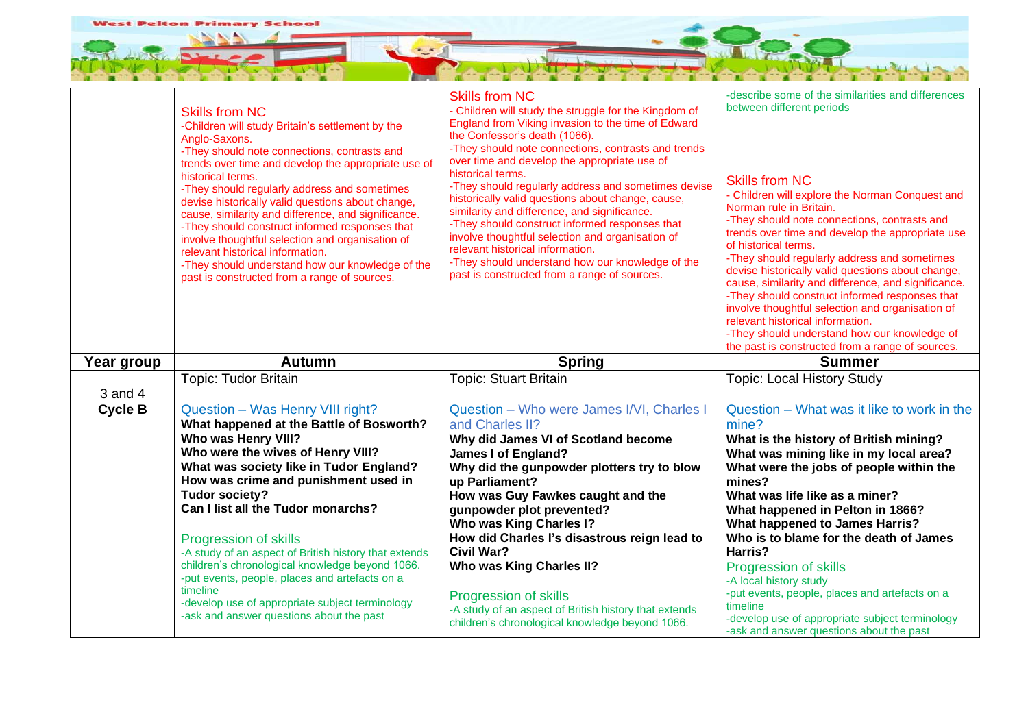



|                               | <b>Skills from NC</b><br>-Children will study Britain's settlement by the<br>Anglo-Saxons.<br>-They should note connections, contrasts and<br>trends over time and develop the appropriate use of<br>historical terms.<br>-They should regularly address and sometimes<br>devise historically valid questions about change,<br>cause, similarity and difference, and significance.<br>-They should construct informed responses that<br>involve thoughtful selection and organisation of<br>relevant historical information.<br>-They should understand how our knowledge of the<br>past is constructed from a range of sources. | <b>Skills from NC</b><br>- Children will study the struggle for the Kingdom of<br>England from Viking invasion to the time of Edward<br>the Confessor's death (1066).<br>-They should note connections, contrasts and trends<br>over time and develop the appropriate use of<br>historical terms.<br>-They should regularly address and sometimes devise<br>historically valid questions about change, cause,<br>similarity and difference, and significance.<br>-They should construct informed responses that<br>involve thoughtful selection and organisation of<br>relevant historical information.<br>-They should understand how our knowledge of the<br>past is constructed from a range of sources. | -describe some of the similarities and differences<br>between different periods<br><b>Skills from NC</b><br>- Children will explore the Norman Conquest and<br>Norman rule in Britain.<br>-They should note connections, contrasts and<br>trends over time and develop the appropriate use<br>of historical terms.<br>-They should regularly address and sometimes<br>devise historically valid questions about change,<br>cause, similarity and difference, and significance.<br>-They should construct informed responses that<br>involve thoughtful selection and organisation of<br>relevant historical information.<br>-They should understand how our knowledge of<br>the past is constructed from a range of sources. |
|-------------------------------|----------------------------------------------------------------------------------------------------------------------------------------------------------------------------------------------------------------------------------------------------------------------------------------------------------------------------------------------------------------------------------------------------------------------------------------------------------------------------------------------------------------------------------------------------------------------------------------------------------------------------------|-------------------------------------------------------------------------------------------------------------------------------------------------------------------------------------------------------------------------------------------------------------------------------------------------------------------------------------------------------------------------------------------------------------------------------------------------------------------------------------------------------------------------------------------------------------------------------------------------------------------------------------------------------------------------------------------------------------|------------------------------------------------------------------------------------------------------------------------------------------------------------------------------------------------------------------------------------------------------------------------------------------------------------------------------------------------------------------------------------------------------------------------------------------------------------------------------------------------------------------------------------------------------------------------------------------------------------------------------------------------------------------------------------------------------------------------------|
| Year group                    | Autumn                                                                                                                                                                                                                                                                                                                                                                                                                                                                                                                                                                                                                           | <b>Spring</b>                                                                                                                                                                                                                                                                                                                                                                                                                                                                                                                                                                                                                                                                                               | <b>Summer</b>                                                                                                                                                                                                                                                                                                                                                                                                                                                                                                                                                                                                                                                                                                                |
|                               | <b>Topic: Tudor Britain</b>                                                                                                                                                                                                                                                                                                                                                                                                                                                                                                                                                                                                      | <b>Topic: Stuart Britain</b>                                                                                                                                                                                                                                                                                                                                                                                                                                                                                                                                                                                                                                                                                | <b>Topic: Local History Study</b>                                                                                                                                                                                                                                                                                                                                                                                                                                                                                                                                                                                                                                                                                            |
| $3$ and $4$<br><b>Cycle B</b> | Question - Was Henry VIII right?<br>What happened at the Battle of Bosworth?<br>Who was Henry VIII?<br>Who were the wives of Henry VIII?<br>What was society like in Tudor England?<br>How was crime and punishment used in<br><b>Tudor society?</b><br>Can I list all the Tudor monarchs?<br><b>Progression of skills</b><br>-A study of an aspect of British history that extends<br>children's chronological knowledge beyond 1066.<br>-put events, people, places and artefacts on a<br>timeline<br>-develop use of appropriate subject terminology<br>-ask and answer questions about the past                              | Question - Who were James I/VI, Charles I<br>and Charles II?<br>Why did James VI of Scotland become<br><b>James I of England?</b><br>Why did the gunpowder plotters try to blow<br>up Parliament?<br>How was Guy Fawkes caught and the<br>gunpowder plot prevented?<br>Who was King Charles I?<br>How did Charles I's disastrous reign lead to<br><b>Civil War?</b><br>Who was King Charles II?<br>Progression of skills<br>-A study of an aspect of British history that extends<br>children's chronological knowledge beyond 1066.                                                                                                                                                                        | Question - What was it like to work in the<br>mine?<br>What is the history of British mining?<br>What was mining like in my local area?<br>What were the jobs of people within the<br>mines?<br>What was life like as a miner?<br>What happened in Pelton in 1866?<br>What happened to James Harris?<br>Who is to blame for the death of James<br>Harris?<br>Progression of skills<br>-A local history study<br>-put events, people, places and artefacts on a<br>timeline<br>-develop use of appropriate subject terminology<br>-ask and answer questions about the past                                                                                                                                                    |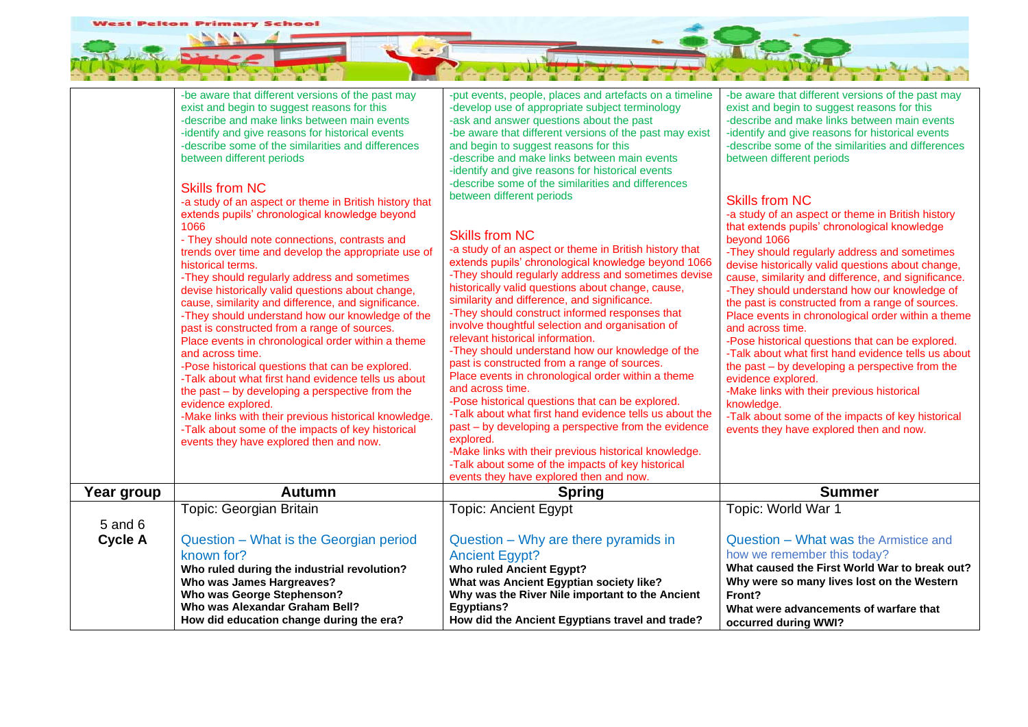

|                | -be aware that different versions of the past may<br>exist and begin to suggest reasons for this<br>-describe and make links between main events<br>-identify and give reasons for historical events<br>-describe some of the similarities and differences<br>between different periods<br><b>Skills from NC</b><br>-a study of an aspect or theme in British history that<br>extends pupils' chronological knowledge beyond<br>1066<br>- They should note connections, contrasts and<br>trends over time and develop the appropriate use of<br>historical terms.<br>-They should regularly address and sometimes<br>devise historically valid questions about change,<br>cause, similarity and difference, and significance.<br>-They should understand how our knowledge of the<br>past is constructed from a range of sources.<br>Place events in chronological order within a theme<br>and across time.<br>-Pose historical questions that can be explored.<br>-Talk about what first hand evidence tells us about<br>the past – by developing a perspective from the<br>evidence explored.<br>-Make links with their previous historical knowledge.<br>-Talk about some of the impacts of key historical<br>events they have explored then and now. | -put events, people, places and artefacts on a timeline<br>-develop use of appropriate subject terminology<br>-ask and answer questions about the past<br>-be aware that different versions of the past may exist<br>and begin to suggest reasons for this<br>-describe and make links between main events<br>-identify and give reasons for historical events<br>-describe some of the similarities and differences<br>between different periods<br><b>Skills from NC</b><br>-a study of an aspect or theme in British history that<br>extends pupils' chronological knowledge beyond 1066<br>-They should regularly address and sometimes devise<br>historically valid questions about change, cause,<br>similarity and difference, and significance.<br>-They should construct informed responses that<br>involve thoughtful selection and organisation of<br>relevant historical information.<br>-They should understand how our knowledge of the<br>past is constructed from a range of sources.<br>Place events in chronological order within a theme<br>and across time.<br>-Pose historical questions that can be explored.<br>-Talk about what first hand evidence tells us about the<br>past – by developing a perspective from the evidence<br>explored.<br>-Make links with their previous historical knowledge.<br>-Talk about some of the impacts of key historical | -be aware that different versions of the past may<br>exist and begin to suggest reasons for this<br>-describe and make links between main events<br>-identify and give reasons for historical events<br>-describe some of the similarities and differences<br>between different periods<br><b>Skills from NC</b><br>-a study of an aspect or theme in British history<br>that extends pupils' chronological knowledge<br>beyond 1066<br>-They should regularly address and sometimes<br>devise historically valid questions about change,<br>cause, similarity and difference, and significance.<br>-They should understand how our knowledge of<br>the past is constructed from a range of sources.<br>Place events in chronological order within a theme<br>and across time.<br>-Pose historical questions that can be explored.<br>-Talk about what first hand evidence tells us about<br>the past – by developing a perspective from the<br>evidence explored.<br>-Make links with their previous historical<br>knowledge.<br>-Talk about some of the impacts of key historical<br>events they have explored then and now. |
|----------------|----------------------------------------------------------------------------------------------------------------------------------------------------------------------------------------------------------------------------------------------------------------------------------------------------------------------------------------------------------------------------------------------------------------------------------------------------------------------------------------------------------------------------------------------------------------------------------------------------------------------------------------------------------------------------------------------------------------------------------------------------------------------------------------------------------------------------------------------------------------------------------------------------------------------------------------------------------------------------------------------------------------------------------------------------------------------------------------------------------------------------------------------------------------------------------------------------------------------------------------------------------|-----------------------------------------------------------------------------------------------------------------------------------------------------------------------------------------------------------------------------------------------------------------------------------------------------------------------------------------------------------------------------------------------------------------------------------------------------------------------------------------------------------------------------------------------------------------------------------------------------------------------------------------------------------------------------------------------------------------------------------------------------------------------------------------------------------------------------------------------------------------------------------------------------------------------------------------------------------------------------------------------------------------------------------------------------------------------------------------------------------------------------------------------------------------------------------------------------------------------------------------------------------------------------------------------------------------------------------------------------------------------------------|--------------------------------------------------------------------------------------------------------------------------------------------------------------------------------------------------------------------------------------------------------------------------------------------------------------------------------------------------------------------------------------------------------------------------------------------------------------------------------------------------------------------------------------------------------------------------------------------------------------------------------------------------------------------------------------------------------------------------------------------------------------------------------------------------------------------------------------------------------------------------------------------------------------------------------------------------------------------------------------------------------------------------------------------------------------------------------------------------------------------------------|
|                | Autumn                                                                                                                                                                                                                                                                                                                                                                                                                                                                                                                                                                                                                                                                                                                                                                                                                                                                                                                                                                                                                                                                                                                                                                                                                                                   | events they have explored then and now.<br><b>Spring</b>                                                                                                                                                                                                                                                                                                                                                                                                                                                                                                                                                                                                                                                                                                                                                                                                                                                                                                                                                                                                                                                                                                                                                                                                                                                                                                                          | <b>Summer</b>                                                                                                                                                                                                                                                                                                                                                                                                                                                                                                                                                                                                                                                                                                                                                                                                                                                                                                                                                                                                                                                                                                                  |
| Year group     |                                                                                                                                                                                                                                                                                                                                                                                                                                                                                                                                                                                                                                                                                                                                                                                                                                                                                                                                                                                                                                                                                                                                                                                                                                                          |                                                                                                                                                                                                                                                                                                                                                                                                                                                                                                                                                                                                                                                                                                                                                                                                                                                                                                                                                                                                                                                                                                                                                                                                                                                                                                                                                                                   | Topic: World War 1                                                                                                                                                                                                                                                                                                                                                                                                                                                                                                                                                                                                                                                                                                                                                                                                                                                                                                                                                                                                                                                                                                             |
| 5 and 6        | Topic: Georgian Britain                                                                                                                                                                                                                                                                                                                                                                                                                                                                                                                                                                                                                                                                                                                                                                                                                                                                                                                                                                                                                                                                                                                                                                                                                                  | <b>Topic: Ancient Egypt</b>                                                                                                                                                                                                                                                                                                                                                                                                                                                                                                                                                                                                                                                                                                                                                                                                                                                                                                                                                                                                                                                                                                                                                                                                                                                                                                                                                       |                                                                                                                                                                                                                                                                                                                                                                                                                                                                                                                                                                                                                                                                                                                                                                                                                                                                                                                                                                                                                                                                                                                                |
| <b>Cycle A</b> | Question - What is the Georgian period<br>known for?                                                                                                                                                                                                                                                                                                                                                                                                                                                                                                                                                                                                                                                                                                                                                                                                                                                                                                                                                                                                                                                                                                                                                                                                     | Question - Why are there pyramids in                                                                                                                                                                                                                                                                                                                                                                                                                                                                                                                                                                                                                                                                                                                                                                                                                                                                                                                                                                                                                                                                                                                                                                                                                                                                                                                                              | Question - What was the Armistice and<br>how we remember this today?                                                                                                                                                                                                                                                                                                                                                                                                                                                                                                                                                                                                                                                                                                                                                                                                                                                                                                                                                                                                                                                           |
|                | Who ruled during the industrial revolution?                                                                                                                                                                                                                                                                                                                                                                                                                                                                                                                                                                                                                                                                                                                                                                                                                                                                                                                                                                                                                                                                                                                                                                                                              | <b>Ancient Egypt?</b><br><b>Who ruled Ancient Egypt?</b>                                                                                                                                                                                                                                                                                                                                                                                                                                                                                                                                                                                                                                                                                                                                                                                                                                                                                                                                                                                                                                                                                                                                                                                                                                                                                                                          | What caused the First World War to break out?                                                                                                                                                                                                                                                                                                                                                                                                                                                                                                                                                                                                                                                                                                                                                                                                                                                                                                                                                                                                                                                                                  |
|                | Who was James Hargreaves?<br>Who was George Stephenson?<br>Who was Alexandar Graham Bell?<br>How did education change during the era?                                                                                                                                                                                                                                                                                                                                                                                                                                                                                                                                                                                                                                                                                                                                                                                                                                                                                                                                                                                                                                                                                                                    | What was Ancient Egyptian society like?<br>Why was the River Nile important to the Ancient<br><b>Egyptians?</b><br>How did the Ancient Egyptians travel and trade?                                                                                                                                                                                                                                                                                                                                                                                                                                                                                                                                                                                                                                                                                                                                                                                                                                                                                                                                                                                                                                                                                                                                                                                                                | Why were so many lives lost on the Western<br>Front?<br>What were advancements of warfare that<br>occurred during WWI?                                                                                                                                                                                                                                                                                                                                                                                                                                                                                                                                                                                                                                                                                                                                                                                                                                                                                                                                                                                                         |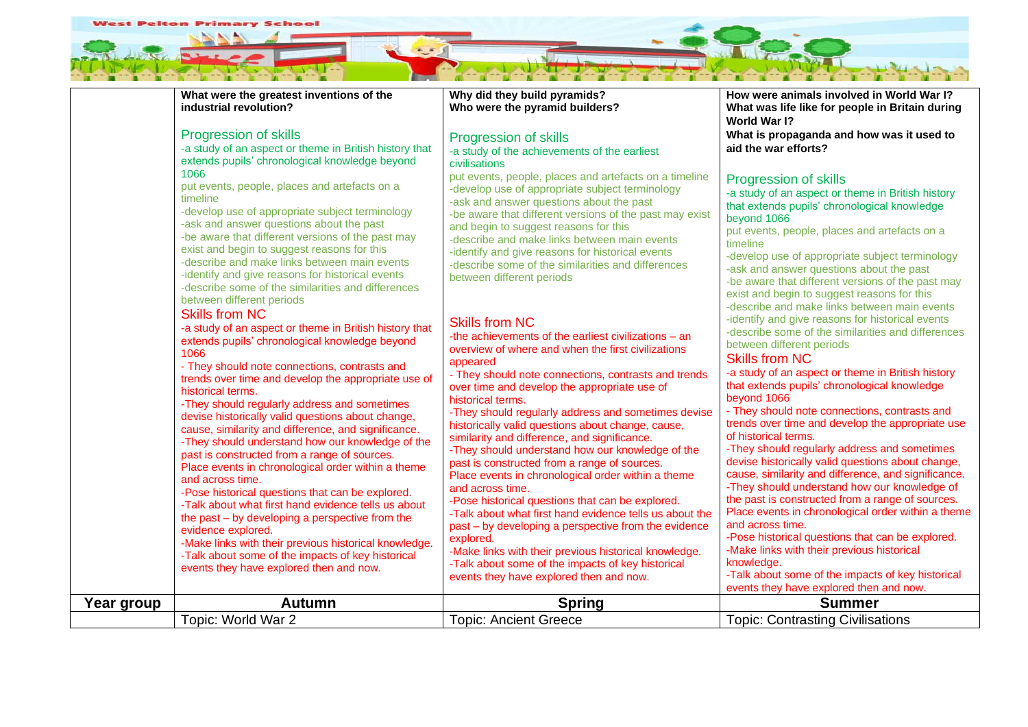**NPR Abe** 

**Charles Ave** 

a. ×

 $\overline{a}$   $\overline{a}$ 

|            | What were the greatest inventions of the<br>industrial revolution?                                       | Why did they build pyramids?<br>Who were the pyramid builders?                                              | How were animals involved in World War I?<br>What was life like for people in Britain during     |
|------------|----------------------------------------------------------------------------------------------------------|-------------------------------------------------------------------------------------------------------------|--------------------------------------------------------------------------------------------------|
|            |                                                                                                          |                                                                                                             | World War I?                                                                                     |
|            | <b>Progression of skills</b>                                                                             | Progression of skills                                                                                       | What is propaganda and how was it used to                                                        |
|            | -a study of an aspect or theme in British history that                                                   | -a study of the achievements of the earliest                                                                | aid the war efforts?                                                                             |
|            | extends pupils' chronological knowledge beyond                                                           | civilisations                                                                                               |                                                                                                  |
|            | 1066<br>put events, people, places and artefacts on a                                                    | put events, people, places and artefacts on a timeline                                                      | Progression of skills                                                                            |
|            | timeline                                                                                                 | -develop use of appropriate subject terminology<br>-ask and answer questions about the past                 | -a study of an aspect or theme in British history                                                |
|            | -develop use of appropriate subject terminology                                                          | -be aware that different versions of the past may exist                                                     | that extends pupils' chronological knowledge<br>beyond 1066                                      |
|            | -ask and answer questions about the past                                                                 | and begin to suggest reasons for this                                                                       | put events, people, places and artefacts on a                                                    |
|            | -be aware that different versions of the past may<br>exist and begin to suggest reasons for this         | -describe and make links between main events                                                                | timeline                                                                                         |
|            | -describe and make links between main events                                                             | -identify and give reasons for historical events<br>-describe some of the similarities and differences      | -develop use of appropriate subject terminology                                                  |
|            | -identify and give reasons for historical events                                                         | between different periods                                                                                   | -ask and answer questions about the past                                                         |
|            | -describe some of the similarities and differences                                                       |                                                                                                             | -be aware that different versions of the past may<br>exist and begin to suggest reasons for this |
|            | between different periods                                                                                |                                                                                                             | -describe and make links between main events                                                     |
|            | <b>Skills from NC</b>                                                                                    | <b>Skills from NC</b>                                                                                       | -identify and give reasons for historical events                                                 |
|            | -a study of an aspect or theme in British history that<br>extends pupils' chronological knowledge beyond | -the achievements of the earliest civilizations - an                                                        | -describe some of the similarities and differences                                               |
|            | 1066                                                                                                     | overview of where and when the first civilizations                                                          | between different periods<br><b>Skills from NC</b>                                               |
|            | - They should note connections, contrasts and                                                            | appeared<br>- They should note connections, contrasts and trends                                            | -a study of an aspect or theme in British history                                                |
|            | trends over time and develop the appropriate use of                                                      | over time and develop the appropriate use of                                                                | that extends pupils' chronological knowledge                                                     |
|            | historical terms.<br>-They should regularly address and sometimes                                        | historical terms.                                                                                           | beyond 1066                                                                                      |
|            | devise historically valid questions about change,                                                        | -They should regularly address and sometimes devise                                                         | - They should note connections, contrasts and                                                    |
|            | cause, similarity and difference, and significance.                                                      | historically valid questions about change, cause,                                                           | trends over time and develop the appropriate use<br>of historical terms.                         |
|            | -They should understand how our knowledge of the                                                         | similarity and difference, and significance.<br>-They should understand how our knowledge of the            | -They should regularly address and sometimes                                                     |
|            | past is constructed from a range of sources.<br>Place events in chronological order within a theme       | past is constructed from a range of sources.                                                                | devise historically valid questions about change,                                                |
|            | and across time.                                                                                         | Place events in chronological order within a theme                                                          | cause, similarity and difference, and significance.                                              |
|            | -Pose historical questions that can be explored.                                                         | and across time.                                                                                            | -They should understand how our knowledge of<br>the past is constructed from a range of sources. |
|            | -Talk about what first hand evidence tells us about                                                      | -Pose historical questions that can be explored.<br>-Talk about what first hand evidence tells us about the | Place events in chronological order within a theme                                               |
|            | the past – by developing a perspective from the<br>evidence explored.                                    | past - by developing a perspective from the evidence                                                        | and across time.                                                                                 |
|            | -Make links with their previous historical knowledge.                                                    | explored.                                                                                                   | -Pose historical questions that can be explored.                                                 |
|            | -Talk about some of the impacts of key historical                                                        | -Make links with their previous historical knowledge.                                                       | -Make links with their previous historical<br>knowledge.                                         |
|            | events they have explored then and now.                                                                  | -Talk about some of the impacts of key historical<br>events they have explored then and now.                | -Talk about some of the impacts of key historical                                                |
|            |                                                                                                          |                                                                                                             | events they have explored then and now.                                                          |
| Year group | <b>Autumn</b>                                                                                            | <b>Spring</b>                                                                                               | <b>Summer</b>                                                                                    |
|            | Topic: World War 2                                                                                       | <b>Topic: Ancient Greece</b>                                                                                | <b>Topic: Contrasting Civilisations</b>                                                          |

 $1 - 1 -$ 

 $\mathcal{X}$  and  $\mathcal{X}$ .

**DESCRIPTION AND VALUE** 

 $1441$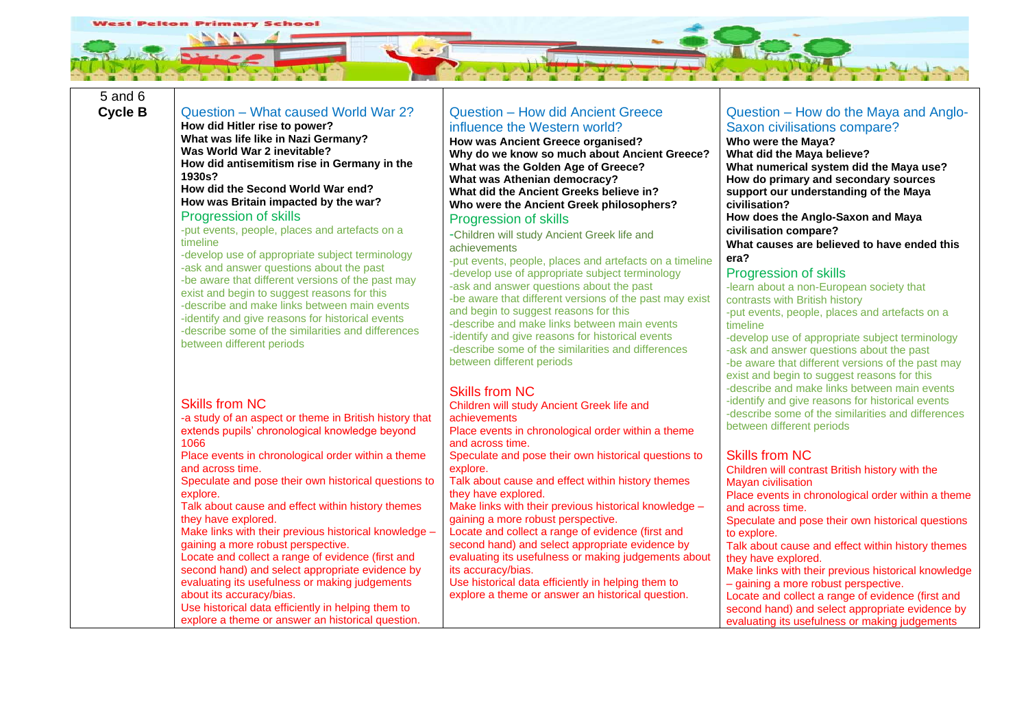

# 5 and 6

# **Cycle B** Question – What caused World War 2? **How did Hitler rise to power?**

**What was life like in Nazi Germany? Was World War 2 inevitable? How did antisemitism rise in Germany in the 1930s?**

#### **How did the Second World War end? How was Britain impacted by the war?** Progression of skills

-put events, people, places and artefacts on a timeline

-develop use of appropriate subject terminology -ask and answer questions about the past -be aware that different versions of the past may exist and begin to suggest reasons for this -describe and make links between main events -identify and give reasons for historical events -describe some of the similarities and differences between different periods

# Skills from NC

| -a study of an aspect or theme in British history that<br>extends pupils' chronological knowledge beyond |
|----------------------------------------------------------------------------------------------------------|
| 1066                                                                                                     |
| Place events in chronological order within a theme                                                       |
| and across time.                                                                                         |
| Speculate and pose their own historical questions to                                                     |
| explore.                                                                                                 |
| Talk about cause and effect within history themes                                                        |
| they have explored.                                                                                      |
| Make links with their previous historical knowledge -                                                    |
| gaining a more robust perspective.                                                                       |
| Locate and collect a range of evidence (first and                                                        |
| second hand) and select appropriate evidence by                                                          |
| evaluating its usefulness or making judgements                                                           |
| about its accuracy/bias.                                                                                 |
| Use historical data efficiently in helping them to                                                       |
| explore a theme or answer an historical question.                                                        |

### Question – How did Ancient Greece influence the Western world?

**How was Ancient Greece organised? Why do we know so much about Ancient Greece? What was the Golden Age of Greece? What was Athenian democracy? What did the Ancient Greeks believe in? Who were the Ancient Greek philosophers?** Progression of skills

#### -Children will study Ancient Greek life and achievements

-put events, people, places and artefacts on a timeline -develop use of appropriate subject terminology -ask and answer questions about the past -be aware that different versions of the past may exist and begin to suggest reasons for this -describe and make links between main events -identify and give reasons for historical events -describe some of the similarities and differences between different periods

## Skills from NC

| at            | Children will study Ancient Greek life and<br>achievements<br>Place events in chronological order within a theme<br>and across time.                                                                                                                                                          | -identify an<br>-describe s<br>between di                                                                |
|---------------|-----------------------------------------------------------------------------------------------------------------------------------------------------------------------------------------------------------------------------------------------------------------------------------------------|----------------------------------------------------------------------------------------------------------|
| ă             | Speculate and pose their own historical questions to<br>explore.                                                                                                                                                                                                                              | <b>Skills fror</b><br>Children wi                                                                        |
| to            | Talk about cause and effect within history themes<br>they have explored.<br>Make links with their previous historical knowledge -<br>gaining a more robust perspective.                                                                                                                       | Mayan civil<br>Place even<br>and across<br>Speculate a                                                   |
| $\frac{1}{2}$ | Locate and collect a range of evidence (first and<br>second hand) and select appropriate evidence by<br>evaluating its usefulness or making judgements about<br>its accuracy/bias.<br>Use historical data efficiently in helping them to<br>explore a theme or answer an historical question. | to explore.<br>Talk about<br>they have e<br><b>Make links</b><br>- gaining a<br>Locate and<br>second har |

### Question – How do the Maya and Anglo-Saxon civilisations compare?

**Who were the Maya? What did the Maya believe? What numerical system did the Maya use? How do primary and secondary sources support our understanding of the Maya civilisation? How does the Anglo-Saxon and Maya civilisation compare?**

**What causes are believed to have ended this era?**

#### Progression of skills

-learn about a non-European society that contrasts with British history -put events, people, places and artefacts on a timeline

-develop use of appropriate subject terminology -ask and answer questions about the past -be aware that different versions of the past may exist and begin to suggest reasons for this -describe and make links between main events d give reasons for historical events ome of the similarities and differences fferent periods

### $m$  NC.

ill contrast British history with the lisation Its in chronological order within a theme time. and pose their own historical questions cause and effect within history themes explored. with their previous historical knowledge more robust perspective. collect a range of evidence (first and nd) and select appropriate evidence by evaluating its usefulness or making judgements